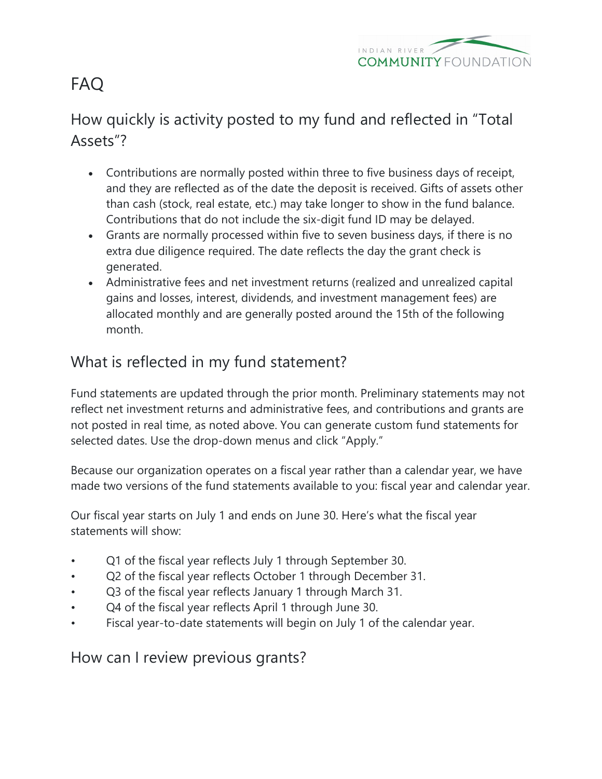

# FAQ

# How quickly is activity posted to my fund and reflected in "Total Assets"?

- Contributions are normally posted within three to five business days of receipt, and they are reflected as of the date the deposit is received. Gifts of assets other than cash (stock, real estate, etc.) may take longer to show in the fund balance. Contributions that do not include the six-digit fund ID may be delayed.
- Grants are normally processed within five to seven business days, if there is no extra due diligence required. The date reflects the day the grant check is generated.
- Administrative fees and net investment returns (realized and unrealized capital gains and losses, interest, dividends, and investment management fees) are allocated monthly and are generally posted around the 15th of the following month.

# What is reflected in my fund statement?

Fund statements are updated through the prior month. Preliminary statements may not reflect net investment returns and administrative fees, and contributions and grants are not posted in real time, as noted above. You can generate custom fund statements for selected dates. Use the drop-down menus and click "Apply."

Because our organization operates on a fiscal year rather than a calendar year, we have made two versions of the fund statements available to you: fiscal year and calendar year.

Our fiscal year starts on July 1 and ends on June 30. Here's what the fiscal year statements will show:

- Q1 of the fiscal year reflects July 1 through September 30.
- Q2 of the fiscal year reflects October 1 through December 31.
- Q3 of the fiscal year reflects January 1 through March 31.
- Q4 of the fiscal year reflects April 1 through June 30.
- Fiscal year-to-date statements will begin on July 1 of the calendar year.

How can I review previous grants?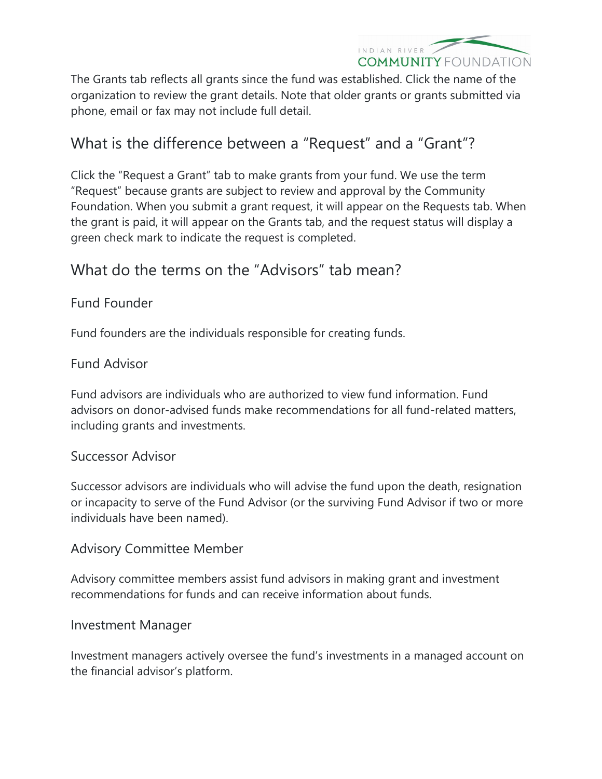

The Grants tab reflects all grants since the fund was established. Click the name of the organization to review the grant details. Note that older grants or grants submitted via phone, email or fax may not include full detail.

# What is the difference between a "Request" and a "Grant"?

Click the "Request a Grant" tab to make grants from your fund. We use the term "Request" because grants are subject to review and approval by the Community Foundation. When you submit a grant request, it will appear on the Requests tab. When the grant is paid, it will appear on the Grants tab, and the request status will display a green check mark to indicate the request is completed.

### What do the terms on the "Advisors" tab mean?

#### Fund Founder

Fund founders are the individuals responsible for creating funds.

#### Fund Advisor

Fund advisors are individuals who are authorized to view fund information. Fund advisors on donor-advised funds make recommendations for all fund-related matters, including grants and investments.

#### Successor Advisor

Successor advisors are individuals who will advise the fund upon the death, resignation or incapacity to serve of the Fund Advisor (or the surviving Fund Advisor if two or more individuals have been named).

#### Advisory Committee Member

Advisory committee members assist fund advisors in making grant and investment recommendations for funds and can receive information about funds.

#### Investment Manager

Investment managers actively oversee the fund's investments in a managed account on the financial advisor's platform.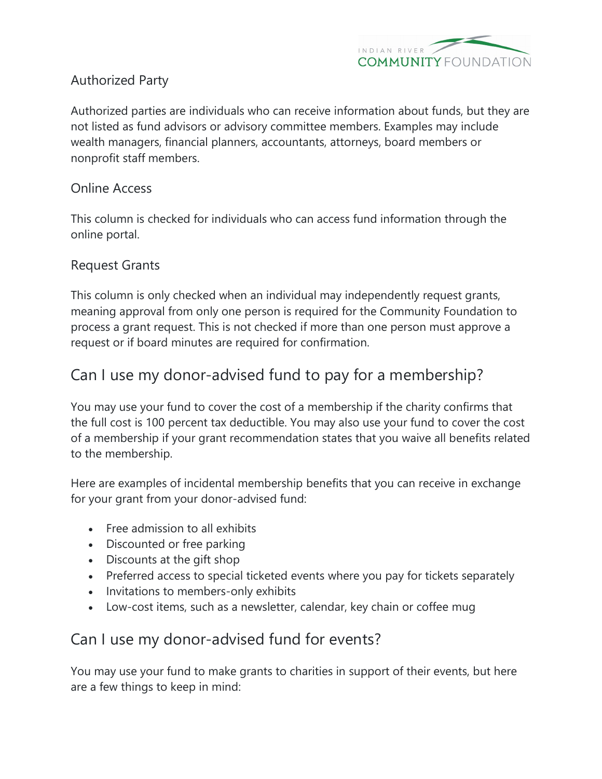

#### Authorized Party

Authorized parties are individuals who can receive information about funds, but they are not listed as fund advisors or advisory committee members. Examples may include wealth managers, financial planners, accountants, attorneys, board members or nonprofit staff members.

#### Online Access

This column is checked for individuals who can access fund information through the online portal.

#### Request Grants

This column is only checked when an individual may independently request grants, meaning approval from only one person is required for the Community Foundation to process a grant request. This is not checked if more than one person must approve a request or if board minutes are required for confirmation.

### Can I use my donor-advised fund to pay for a membership?

You may use your fund to cover the cost of a membership if the charity confirms that the full cost is 100 percent tax deductible. You may also use your fund to cover the cost of a membership if your grant recommendation states that you waive all benefits related to the membership.

Here are examples of incidental membership benefits that you can receive in exchange for your grant from your donor-advised fund:

- Free admission to all exhibits
- Discounted or free parking
- Discounts at the gift shop
- Preferred access to special ticketed events where you pay for tickets separately
- Invitations to members-only exhibits
- Low-cost items, such as a newsletter, calendar, key chain or coffee mug

### Can I use my donor-advised fund for events?

You may use your fund to make grants to charities in support of their events, but here are a few things to keep in mind: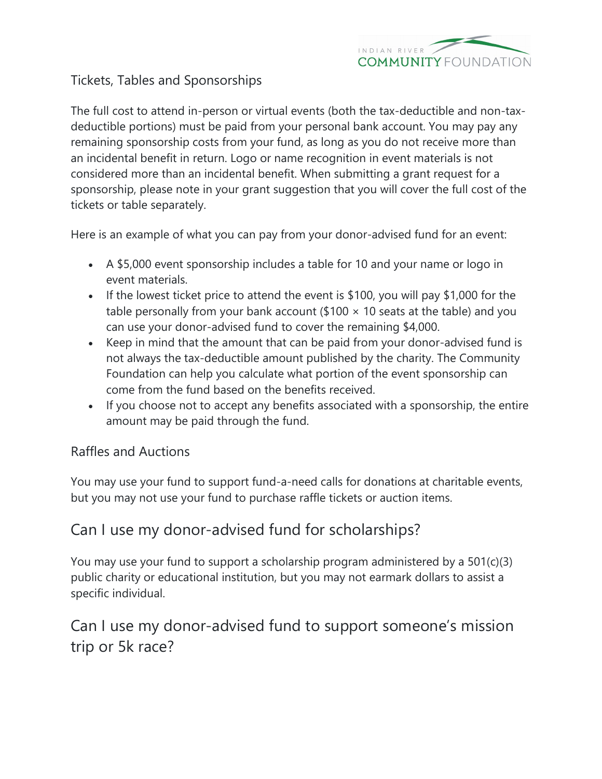

#### Tickets, Tables and Sponsorships

The full cost to attend in-person or virtual events (both the tax-deductible and non-taxdeductible portions) must be paid from your personal bank account. You may pay any remaining sponsorship costs from your fund, as long as you do not receive more than an incidental benefit in return. Logo or name recognition in event materials is not considered more than an incidental benefit. When submitting a grant request for a sponsorship, please note in your grant suggestion that you will cover the full cost of the tickets or table separately.

Here is an example of what you can pay from your donor-advised fund for an event:

- A \$5,000 event sponsorship includes a table for 10 and your name or logo in event materials.
- If the lowest ticket price to attend the event is \$100, you will pay \$1,000 for the table personally from your bank account (\$100  $\times$  10 seats at the table) and you can use your donor-advised fund to cover the remaining \$4,000.
- Keep in mind that the amount that can be paid from your donor-advised fund is not always the tax-deductible amount published by the charity. The Community Foundation can help you calculate what portion of the event sponsorship can come from the fund based on the benefits received.
- If you choose not to accept any benefits associated with a sponsorship, the entire amount may be paid through the fund.

#### Raffles and Auctions

You may use your fund to support fund-a-need calls for donations at charitable events, but you may not use your fund to purchase raffle tickets or auction items.

### Can I use my donor-advised fund for scholarships?

You may use your fund to support a scholarship program administered by a 501(c)(3) public charity or educational institution, but you may not earmark dollars to assist a specific individual.

# Can I use my donor-advised fund to support someone's mission trip or 5k race?